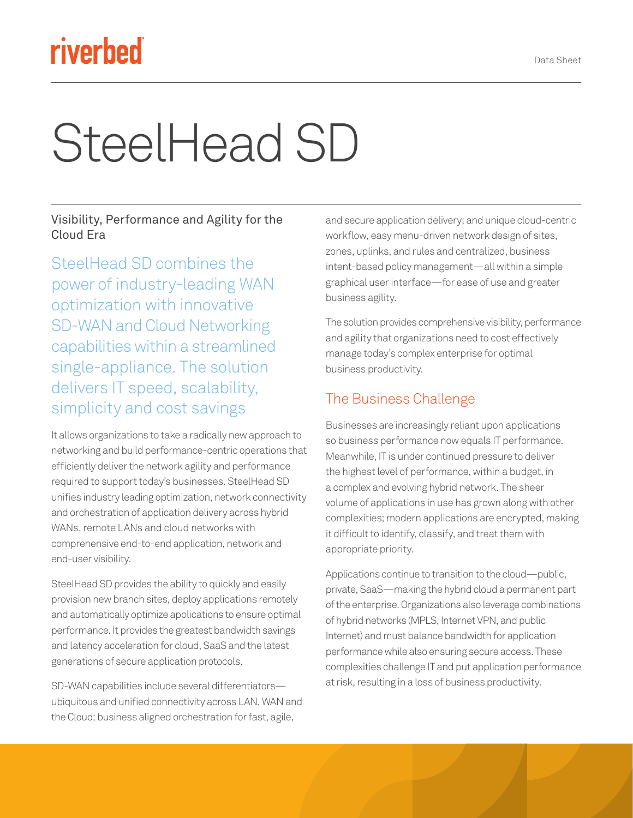## riverbed

# SteelHead SD

Visibility, Performance and Agility for the Cloud Era

SteelHead SD combines the power of industry-leading WAN optimization with innovative SD-WAN and Cloud Networking capabilities within a streamlined single-appliance. The solution delivers IT speed, scalability, simplicity and cost savings

It allows organizations to take a radically new approach to networking and build performance-centric operations that efficiently deliver the network agility and performance required to support today's businesses. SteelHead SD unifies industry leading optimization, network connectivity and orchestration of application delivery across hybrid WANs, remote LANs and cloud networks with comprehensive end-to-end application, network and end-user visibility.

SteelHead SD provides the ability to quickly and easily provision new branch sites, deploy applications remotely and automatically optimize applications to ensure optimal performance. It provides the greatest bandwidth savings and latency acceleration for cloud, SaaS and the latest generations of secure application protocols.

SD-WAN capabilities include several differentiators ubiquitous and unified connectivity across LAN, WAN and the Cloud; business aligned orchestration for fast, agile,

and secure application delivery; and unique cloud-centric workflow, easy menu-driven network design of sites, zones, uplinks, and rules and centralized, business intent-based policy management—all within a simple graphical user interface—for ease of use and greater business agility.

The solution provides comprehensive visibility, performance and agility that organizations need to cost effectively manage today's complex enterprise for optimal business productivity.

#### The Business Challenge

Businesses are increasingly reliant upon applications so business performance now equals IT performance. Meanwhile, IT is under continued pressure to deliver the highest level of performance, within a budget, in a complex and evolving hybrid network. The sheer volume of applications in use has grown along with other complexities; modern applications are encrypted, making it difficult to identify, classify, and treat them with appropriate priority.

Applications continue to transition to the cloud—public, private, SaaS—making the hybrid cloud a permanent part of the enterprise. Organizations also leverage combinations of hybrid networks (MPLS, Internet VPN, and public Internet) and must balance bandwidth for application performance while also ensuring secure access. These complexities challenge IT and put application performance at risk, resulting in a loss of business productivity.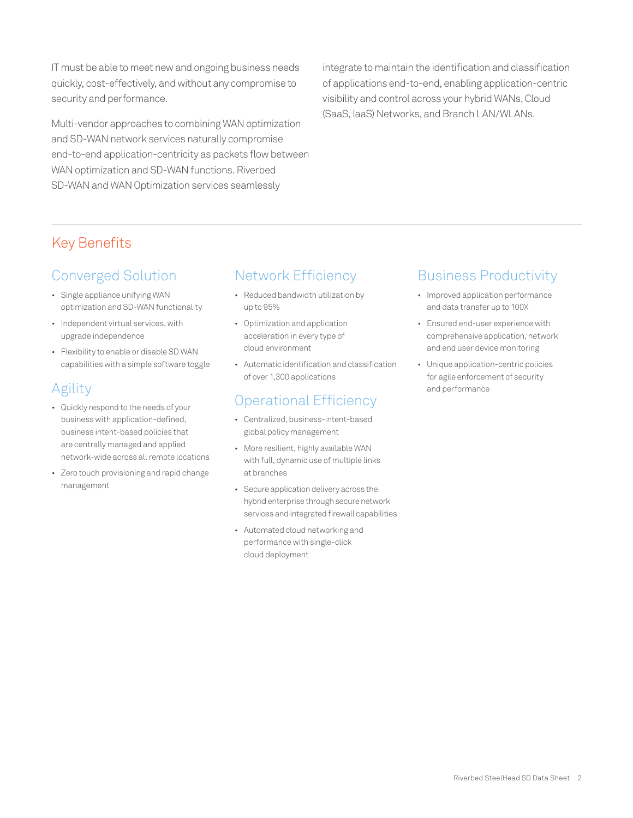IT must be able to meet new and ongoing business needs quickly, cost-effectively, and without any compromise to security and performance.

Multi-vendor approaches to combining WAN optimization and SD-WAN network services naturally compromise end-to-end application-centricity as packets flow between WAN optimization and SD-WAN functions. Riverbed SD-WAN and WAN Optimization services seamlessly

integrate to maintain the identification and classification of applications end-to-end, enabling application-centric visibility and control across your hybrid WANs, Cloud (SaaS, IaaS) Networks, and Branch LAN/WLANs.

#### Key Benefits

#### Converged Solution

- Single appliance unifying WAN optimization and SD-WAN functionality
- Independent virtual services, with upgrade independence
- Flexibility to enable or disable SD WAN capabilities with a simple software toggle

#### Agility

- Quickly respond to the needs of your business with application-defined, business intent-based policies that are centrally managed and applied network-wide across all remote locations
- Zero touch provisioning and rapid change management

#### Network Efficiency

- Reduced bandwidth utilization by up to 95%
- Optimization and application acceleration in every type of cloud environment
- Automatic identification and classification of over 1,300 applications

#### Operational Efficiency

- Centralized, business-intent-based global policy management
- More resilient, highly available WAN with full, dynamic use of multiple links at branches
- Secure application delivery across the hybrid enterprise through secure network services and integrated firewall capabilities
- Automated cloud networking and performance with single-click cloud deployment

#### Business Productivity

- Improved application performance and data transfer up to 100X
- Ensured end-user experience with comprehensive application, network and end user device monitoring
- Unique application-centric policies for agile enforcement of security and performance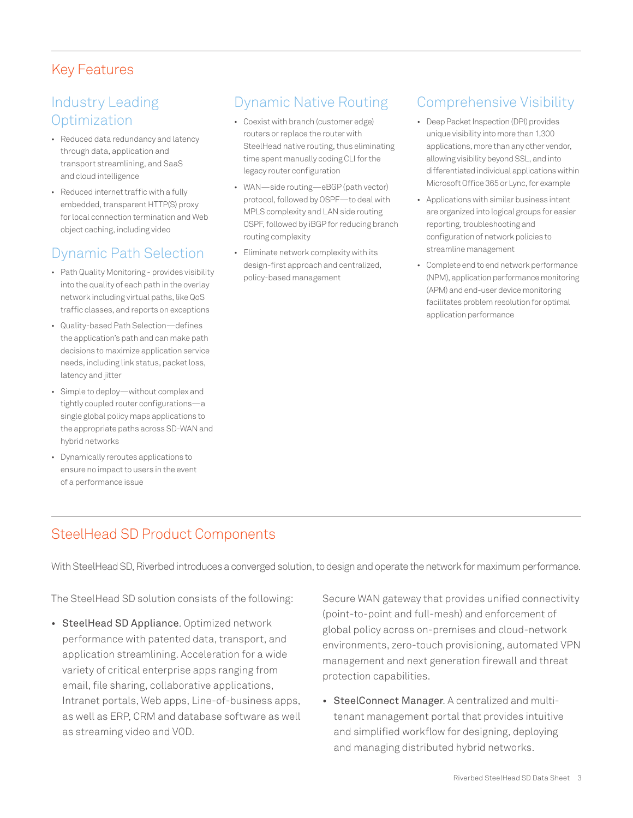#### Key Features

#### Industry Leading **Optimization**

- Reduced data redundancy and latency through data, application and transport streamlining, and SaaS and cloud intelligence
- Reduced internet traffic with a fully embedded, transparent HTTP(S) proxy for local connection termination and Web object caching, including video

#### Dynamic Path Selection

- Path Quality Monitoring provides visibility into the quality of each path in the overlay network including virtual paths, like QoS traffic classes, and reports on exceptions
- Quality-based Path Selection—defines the application's path and can make path decisions to maximize application service needs, including link status, packet loss, latency and jitter
- Simple to deploy—without complex and tightly coupled router configurations—a single global policy maps applications to the appropriate paths across SD-WAN and hybrid networks
- Dynamically reroutes applications to ensure no impact to users in the event of a performance issue

#### Dynamic Native Routing

- Coexist with branch (customer edge) routers or replace the router with SteelHead native routing, thus eliminating time spent manually coding CLI for the legacy router configuration
- WAN—side routing—eBGP (path vector) protocol, followed by OSPF—to deal with MPLS complexity and LAN side routing OSPF, followed by iBGP for reducing branch routing complexity
- Eliminate network complexity with its design-first approach and centralized, policy-based management

#### Comprehensive Visibility

- Deep Packet Inspection (DPI) provides unique visibility into more than 1,300 applications, more than any other vendor, allowing visibility beyond SSL, and into differentiated individual applications within Microsoft Office 365 or Lync, for example
- Applications with similar business intent are organized into logical groups for easier reporting, troubleshooting and configuration of network policies to streamline management
- Complete end to end network performance (NPM), application performance monitoring (APM) and end-user device monitoring facilitates problem resolution for optimal application performance

#### SteelHead SD Product Components

With SteelHead SD, Riverbed introduces a converged solution, to design and operate the network for maximum performance.

The SteelHead SD solution consists of the following:

• SteelHead SD Appliance. Optimized network performance with patented data, transport, and application streamlining. Acceleration for a wide variety of critical enterprise apps ranging from email, file sharing, collaborative applications, Intranet portals, Web apps, Line-of-business apps, as well as ERP, CRM and database software as well as streaming video and VOD.

Secure WAN gateway that provides unified connectivity (point-to-point and full-mesh) and enforcement of global policy across on-premises and cloud-network environments, zero-touch provisioning, automated VPN management and next generation firewall and threat protection capabilities.

• SteelConnect Manager. A centralized and multitenant management portal that provides intuitive and simplified workflow for designing, deploying and managing distributed hybrid networks.